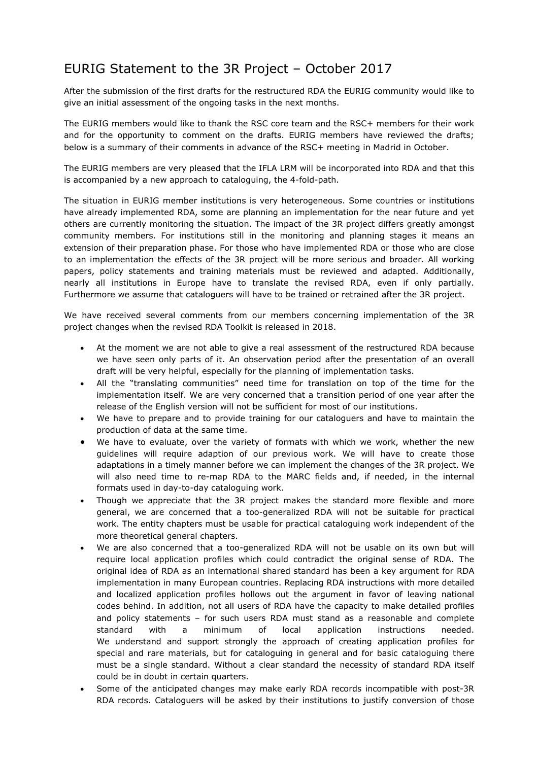## EURIG Statement to the 3R Project – October 2017

After the submission of the first drafts for the restructured RDA the EURIG community would like to give an initial assessment of the ongoing tasks in the next months.

The EURIG members would like to thank the RSC core team and the RSC+ members for their work and for the opportunity to comment on the drafts. EURIG members have reviewed the drafts; below is a summary of their comments in advance of the RSC+ meeting in Madrid in October.

The EURIG members are very pleased that the IFLA LRM will be incorporated into RDA and that this is accompanied by a new approach to cataloguing, the 4-fold-path.

The situation in EURIG member institutions is very heterogeneous. Some countries or institutions have already implemented RDA, some are planning an implementation for the near future and yet others are currently monitoring the situation. The impact of the 3R project differs greatly amongst community members. For institutions still in the monitoring and planning stages it means an extension of their preparation phase. For those who have implemented RDA or those who are close to an implementation the effects of the 3R project will be more serious and broader. All working papers, policy statements and training materials must be reviewed and adapted. Additionally, nearly all institutions in Europe have to translate the revised RDA, even if only partially. Furthermore we assume that cataloguers will have to be trained or retrained after the 3R project.

We have received several comments from our members concerning implementation of the 3R project changes when the revised RDA Toolkit is released in 2018.

- At the moment we are not able to give a real assessment of the restructured RDA because we have seen only parts of it. An observation period after the presentation of an overall draft will be very helpful, especially for the planning of implementation tasks.
- All the "translating communities" need time for translation on top of the time for the implementation itself. We are very concerned that a transition period of one year after the release of the English version will not be sufficient for most of our institutions.
- We have to prepare and to provide training for our cataloguers and have to maintain the production of data at the same time.
- We have to evaluate, over the variety of formats with which we work, whether the new guidelines will require adaption of our previous work. We will have to create those adaptations in a timely manner before we can implement the changes of the 3R project. We will also need time to re-map RDA to the MARC fields and, if needed, in the internal formats used in day-to-day cataloguing work.
- Though we appreciate that the 3R project makes the standard more flexible and more general, we are concerned that a too-generalized RDA will not be suitable for practical work. The entity chapters must be usable for practical cataloguing work independent of the more theoretical general chapters.
- We are also concerned that a too-generalized RDA will not be usable on its own but will require local application profiles which could contradict the original sense of RDA. The original idea of RDA as an international shared standard has been a key argument for RDA implementation in many European countries. Replacing RDA instructions with more detailed and localized application profiles hollows out the argument in favor of leaving national codes behind. In addition, not all users of RDA have the capacity to make detailed profiles and policy statements – for such users RDA must stand as a reasonable and complete standard with a minimum of local application instructions needed. We understand and support strongly the approach of creating application profiles for special and rare materials, but for cataloguing in general and for basic cataloguing there must be a single standard. Without a clear standard the necessity of standard RDA itself could be in doubt in certain quarters.
- Some of the anticipated changes may make early RDA records incompatible with post-3R RDA records. Cataloguers will be asked by their institutions to justify conversion of those